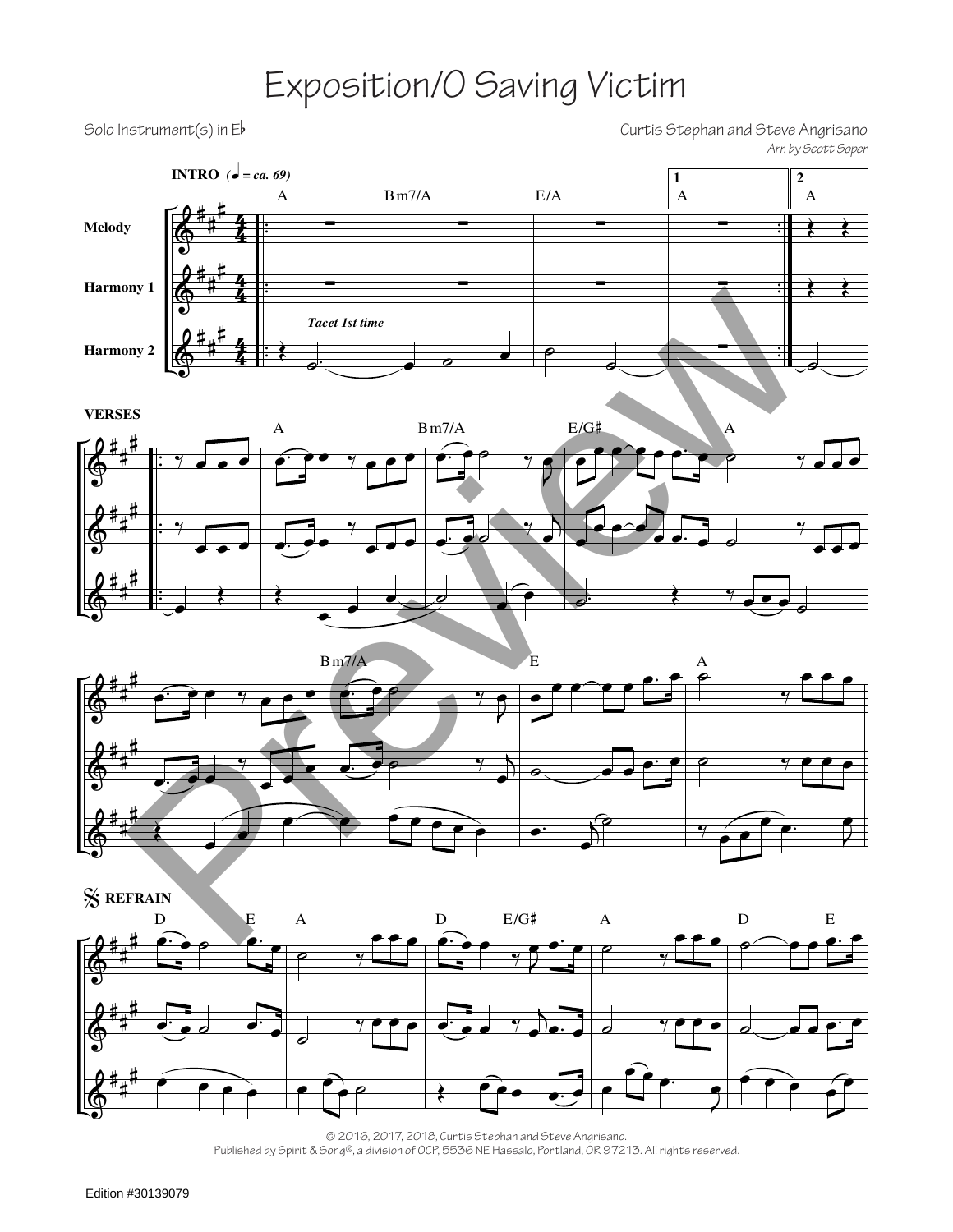## Exposition/O Saving Victim

Solo Instrument(s) in Eb Solo Instrument(s) in Eb Solo Instrument(s) in Eb Solo Instrument(s) in Eb *Arr. by Scott Soper*







% **REFRAIN**



© 2016, 2017, 2018, Curtis Stephan and Steve Angrisano. Published by Spirit & Song®, a division of OCP, 5536 NE Hassalo, Portland, OR 97213. All rights reserved.